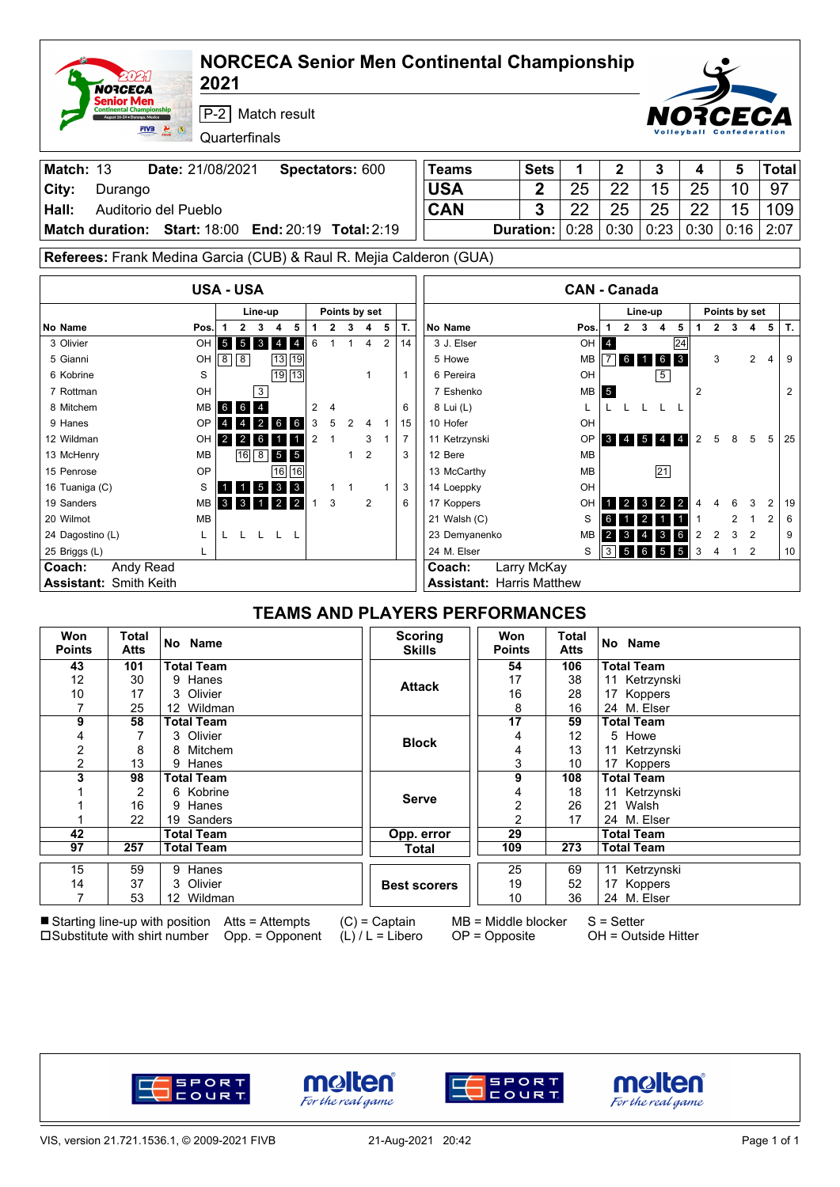|                              | 20 Z 4<br>NORCECA                                                                   |                                 | <b>NORCECA Senior Men Continental Championship</b><br>2021                        |                                  |               |                   |                |                                       |                                  |               |                                  |                                           |                |                                      |                            |   |       |
|------------------------------|-------------------------------------------------------------------------------------|---------------------------------|-----------------------------------------------------------------------------------|----------------------------------|---------------|-------------------|----------------|---------------------------------------|----------------------------------|---------------|----------------------------------|-------------------------------------------|----------------|--------------------------------------|----------------------------|---|-------|
|                              | ienior Men<br><b>Continental Championship</b><br>st 16-24 · Durango, Mexico<br>FIV3 | $\frac{2}{2}$                   | P-2 Match result<br>Quarterfinals                                                 |                                  |               |                   |                |                                       |                                  |               |                                  |                                           |                |                                      |                            |   |       |
| Match: 13                    |                                                                                     | Date: 21/08/2021                |                                                                                   | Spectators: 600                  |               |                   |                | Teams                                 | <b>Sets</b>                      | 1             | 2                                | 3                                         | 4              |                                      | 5                          |   | Total |
| City:                        | Durango                                                                             |                                 |                                                                                   |                                  |               |                   |                | <b>USA</b>                            | $\overline{2}$                   | 25            | 22                               | 15                                        | 25             |                                      | 10                         |   | 97    |
| Hall:                        |                                                                                     | Auditorio del Pueblo            |                                                                                   |                                  |               |                   |                | CAN                                   | 3                                | 22            | 25                               | 25                                        | 22             |                                      | 15                         |   | 109   |
| Match duration: Start: 18:00 |                                                                                     |                                 | End: 20:19 Total: 2:19                                                            |                                  |               |                   |                |                                       | <b>Duration:</b>                 | 0:28          | 0:30                             | 0:23                                      | 0:30           | 0:16                                 |                            |   | 2:07  |
|                              |                                                                                     |                                 | Referees: Frank Medina Garcia (CUB) & Raul R. Mejia Calderon (GUA)                |                                  |               |                   |                |                                       |                                  |               |                                  |                                           |                |                                      |                            |   |       |
|                              |                                                                                     |                                 | <b>USA - USA</b>                                                                  |                                  |               |                   |                |                                       |                                  |               | <b>CAN - Canada</b>              |                                           |                |                                      |                            |   |       |
|                              |                                                                                     |                                 |                                                                                   |                                  | Points by set |                   |                |                                       |                                  |               |                                  |                                           |                |                                      |                            |   |       |
| No Name                      |                                                                                     | Pos.                            | Line-up<br>$\mathbf{2}$<br>3<br>5<br>$\mathbf{1}$<br>4                            | $\mathbf{2}$<br>1                | 3             | 5<br>4            | Т.             | No Name                               |                                  | Pos.          | $\mathbf{2}$                     | Line-up<br>$3 \quad 4$<br>5               | 1              | Points by set<br>$\overline{2}$<br>3 | 4                          | 5 | Т.    |
| 3 Olivier                    |                                                                                     | OH                              | 5 5 3 4 4                                                                         | 6<br>$\mathbf{1}$                |               | 2<br>4            | 14             | 3 J. Elser                            |                                  |               | OH <sub>4</sub>                  | 24                                        |                |                                      |                            |   |       |
| 5 Gianni                     |                                                                                     | OH                              | $13 19$<br>$8 \overline{\smash{8}}$                                               |                                  |               |                   |                | 5 Howe                                |                                  | MВ            |                                  | 6 1 6 3                                   |                | 3                                    | $\overline{2}$             | 4 | 9     |
| 6 Kobrine                    |                                                                                     | S                               | 19 13                                                                             |                                  |               | 1                 | 1              | 6 Pereira                             |                                  | OH            |                                  | 5                                         |                |                                      |                            |   |       |
| 7 Rottman                    |                                                                                     | OH                              | 3                                                                                 |                                  |               |                   |                | 7 Eshenko                             |                                  | MВ            | 5                                |                                           | $\overline{2}$ |                                      |                            |   | 2     |
| 8 Mitchem                    |                                                                                     | <b>MB</b>                       | 6 6 4                                                                             | 2<br>4                           |               |                   | 6              | 8 Lui (L)                             |                                  | L             | L L L L                          | - L                                       |                |                                      |                            |   |       |
| 9 Hanes                      |                                                                                     | OP                              | $2 \quad 6 \quad 6$<br>$\overline{4}$                                             | 3<br>5                           | 2             | 4<br>1            | 15             | 10 Hofer                              |                                  | OH            |                                  |                                           |                |                                      |                            |   |       |
| 12 Wildman                   |                                                                                     | OH                              | $2 \mid 2 \mid$<br>6                                                              | $\overline{2}$<br>$\overline{1}$ |               | 3<br>$\mathbf{1}$ | $\overline{7}$ | 11 Ketrzynski                         |                                  | OP            |                                  | $3 \t4 \t5 \t4 \t4$                       | $\overline{2}$ | 5<br>8                               | 5                          | 5 | 25    |
| 13 McHenry                   |                                                                                     | МB                              | 8 5 5<br>16                                                                       |                                  | $\mathbf{1}$  | $\overline{2}$    | 3              | 12 Bere                               | MВ                               |               |                                  |                                           |                |                                      |                            |   |       |
| 15 Penrose                   |                                                                                     | OP                              | 16<br>16                                                                          |                                  |               |                   |                | 13 McCarthy                           |                                  | 21            |                                  |                                           |                |                                      |                            |   |       |
| 16 Tuaniga (C)               |                                                                                     | S                               | $5 \quad 3 \quad 3$                                                               | 1                                | 1             | $\mathbf{1}$      | 3              | 14 Loeppky                            |                                  | OH            |                                  |                                           |                |                                      |                            |   |       |
| 19 Sanders                   |                                                                                     | <b>MB</b>                       | $\overline{2}$<br>3 <sup>1</sup><br>$\mathbf{3}$<br>$\blacksquare$<br>$2^{\circ}$ | 3<br>$\mathbf{1}$                |               | 2                 | 6              | 17 Koppers                            |                                  | OH            |                                  | $1 \quad 2 \quad 3 \quad 2$<br>$\sqrt{2}$ |                | 6                                    | 3                          | 2 | 19    |
| 20 Wilmot                    |                                                                                     | <b>MB</b>                       |                                                                                   |                                  |               |                   |                | 21 Walsh (C)                          |                                  | S             |                                  | 6 1 2 1 1                                 | 1              | 2                                    | $\mathbf{1}$               | 2 | 6     |
| 24 Dagostino (L)             |                                                                                     | L                               | LLLLL                                                                             |                                  |               |                   |                | 23 Demyanenko                         |                                  | MВ            |                                  | $2 \quad 3 \quad 4 \quad 3 \quad 6$       | $\overline{2}$ | 2<br>3                               | $\overline{\phantom{0}}^2$ |   | 9     |
| 25 Briggs (L)                |                                                                                     | L                               |                                                                                   |                                  |               |                   |                | 24 M. Elser                           |                                  | S             |                                  | $3 \quad 5 \quad 6 \quad 5 \quad 5$       | 3              | $\overline{4}$                       | $1\quad 2$                 |   | 10    |
| Coach:                       | Andy Read                                                                           |                                 |                                                                                   |                                  |               |                   |                | Coach:                                | Larry McKay                      |               |                                  |                                           |                |                                      |                            |   |       |
| Assistant: Smith Keith       |                                                                                     |                                 |                                                                                   |                                  |               |                   |                |                                       | <b>Assistant: Harris Matthew</b> |               |                                  |                                           |                |                                      |                            |   |       |
|                              |                                                                                     |                                 |                                                                                   |                                  |               |                   |                | <b>TEAMS AND PLAYERS PERFORMANCES</b> |                                  |               |                                  |                                           |                |                                      |                            |   |       |
| Won<br><b>Points</b>         | <b>Total</b><br>Atts                                                                | No Name                         |                                                                                   |                                  |               |                   |                | <b>Scoring</b><br><b>Skills</b>       | Won<br><b>Points</b>             | Total<br>Atts | No Name                          |                                           |                |                                      |                            |   |       |
| 43                           | 101                                                                                 | <b>Total Team</b>               |                                                                                   |                                  |               |                   |                |                                       | 54                               | 106           | <b>Total Team</b>                |                                           |                |                                      |                            |   |       |
| 12                           | 30                                                                                  | 9 Hanes                         |                                                                                   |                                  |               |                   |                | <b>Attack</b>                         | 17                               | 38            |                                  | 11 Ketrzynski                             |                |                                      |                            |   |       |
| 10                           | 17                                                                                  | 3 Olivier                       |                                                                                   |                                  |               |                   |                |                                       | 16                               | 28            |                                  | 17 Koppers                                |                |                                      |                            |   |       |
| 7<br>9                       | 25<br>58                                                                            | 12 Wildman<br><b>Total Team</b> |                                                                                   |                                  |               |                   |                |                                       | 8<br>$\overline{17}$             | 16<br>59      | 24 M. Elser<br><b>Total Team</b> |                                           |                |                                      |                            |   |       |
| 4                            | 7                                                                                   | 3 Olivier                       |                                                                                   |                                  |               |                   |                |                                       | 4                                | 12            | 5 Howe                           |                                           |                |                                      |                            |   |       |
| 2                            | 8                                                                                   | 8 Mitchem                       |                                                                                   |                                  |               |                   |                | <b>Block</b>                          | 4                                | 13            |                                  | 11 Ketrzynski                             |                |                                      |                            |   |       |
| $\overline{\mathbf{c}}$      | 13                                                                                  | 9 Hanes                         |                                                                                   |                                  |               |                   |                |                                       | 3                                | 10            |                                  | 17 Koppers                                |                |                                      |                            |   |       |
| 3                            | 98                                                                                  | <b>Total Team</b>               |                                                                                   |                                  |               |                   |                |                                       | 9                                | 108           | <b>Total Team</b>                |                                           |                |                                      |                            |   |       |
| 1                            | 2                                                                                   | 6 Kobrine                       |                                                                                   |                                  |               |                   |                | <b>Serve</b>                          | 4                                | 18            |                                  | 11 Ketrzynski                             |                |                                      |                            |   |       |
| 1                            | 16                                                                                  | 9 Hanes                         |                                                                                   |                                  |               |                   |                |                                       | 2                                | 26            | 21 Walsh                         |                                           |                |                                      |                            |   |       |
| 1<br>42                      | 22                                                                                  | 19 Sanders<br><b>Total Team</b> |                                                                                   |                                  |               |                   |                | Opp. error                            | 2<br>29                          | 17            | <b>Total Team</b>                | 24 M. Elser                               |                |                                      |                            |   |       |
| 97                           | 257                                                                                 | <b>Total Team</b>               |                                                                                   |                                  |               |                   |                | <b>Total</b>                          | 109                              | 273           | <b>Total Team</b>                |                                           |                |                                      |                            |   |       |
|                              |                                                                                     | 9 Hanes                         |                                                                                   |                                  |               |                   |                |                                       |                                  |               |                                  | 11 Ketrzynski                             |                |                                      |                            |   |       |
| 15<br>14                     | 59<br>37                                                                            | 3 Olivier                       |                                                                                   |                                  |               |                   |                | <b>Best scorers</b>                   | 25<br>19                         | 69<br>52      |                                  | 17 Koppers                                |                |                                      |                            |   |       |
| $\overline{7}$               | 53                                                                                  | 12 Wildman                      |                                                                                   |                                  |               |                   |                |                                       | 10                               | 36            |                                  | 24 M. Elser                               |                |                                      |                            |   |       |
|                              |                                                                                     |                                 | ■ Starting line-up with position Atts = Attempts                                  |                                  |               | $(C)$ = Captain   |                |                                       | $MB = Middle blocker$            |               | $S = Setter$                     |                                           |                |                                      |                            |   |       |

 $\square$ Substitute with shirt number Opp. = Opponent

(L) / L = Libero

OP = Opposite

OH = Outside Hitter









٦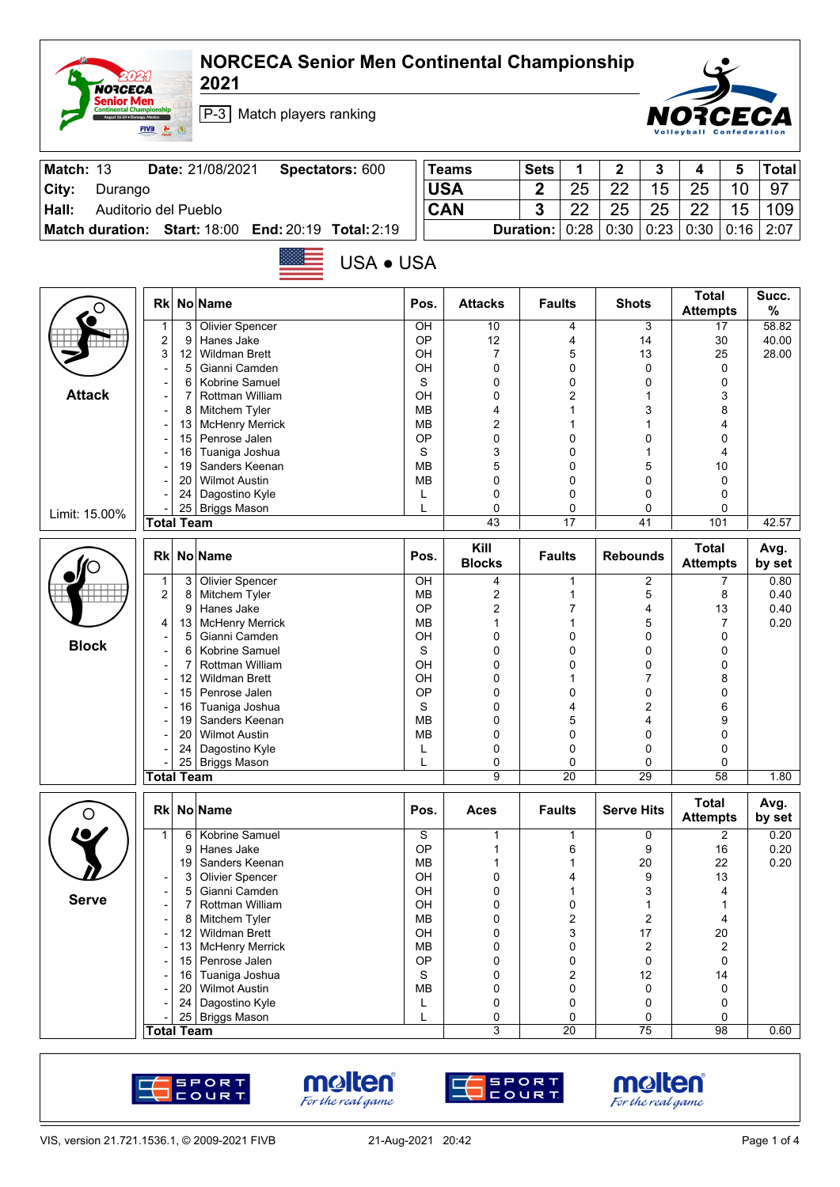## **NORCECA Senior Men Continental Championship**

**2021**

**NORCECA**<br> **Senior Men**<br> **Continental Champion** 

 $\frac{Q}{2}$ 



P-3 Match players ranking

| Match: 13 |                        | Date: 21/08/2021                           | Spectators: 600 | <b>Teams</b> | <b>Sets</b>             |    |        |      |                    |    | <b>Total</b> |
|-----------|------------------------|--------------------------------------------|-----------------|--------------|-------------------------|----|--------|------|--------------------|----|--------------|
| City:     | Durango                |                                            |                 | <b>USA</b>   | ◠                       | 25 | つつ     | 15   | 25                 |    | -97          |
| Hall:     |                        | Auditorio del Pueblo                       |                 | <b>CAN</b>   | $\bullet$               | າາ | 25     | 25   | 22                 | 15 | 109          |
|           | <b>Match duration:</b> | <b>Start: 18:00 End: 20:19 Total: 2:19</b> |                 |              | <b>Duration:</b> $0:28$ |    | $0:30$ | 0:23 | 0:30   0:16   2:07 |    |              |

USA ● USA

|               | <b>Rk</b>                    |          | No Name                                 | Pos.                   | <b>Attacks</b>        | <b>Faults</b>   | <b>Shots</b>                      | <b>Total</b><br><b>Attempts</b> | Succ.<br>%     |
|---------------|------------------------------|----------|-----------------------------------------|------------------------|-----------------------|-----------------|-----------------------------------|---------------------------------|----------------|
|               | 1<br>$\boldsymbol{2}$        | 3<br>9   | <b>Olivier Spencer</b><br>Hanes Jake    | OH<br>OP               | 10<br>12              | 4<br>4          | 3<br>14                           | $\overline{17}$<br>30           | 58.82<br>40.00 |
|               | 3                            | 12       | <b>Wildman Brett</b>                    | OH                     | 7                     | 5               | 13                                | 25                              | 28.00          |
|               | $\qquad \qquad \blacksquare$ | 5        | Gianni Camden                           | OH                     | 0                     | 0               | $\mathbf 0$                       | $\mathbf 0$                     |                |
|               | $\qquad \qquad \blacksquare$ | 6        | Kobrine Samuel                          | S                      | 0                     | 0               | $\mathbf 0$                       | $\mathbf 0$                     |                |
| <b>Attack</b> | $\blacksquare$               | 7        | Rottman William                         | OH                     | 0                     | 2               | 1                                 | 3                               |                |
|               | -                            | 8        | Mitchem Tyler                           | <b>MB</b><br><b>MB</b> | 4<br>2                | 1<br>1          | 3<br>1                            | 8<br>4                          |                |
|               | $\overline{a}$               | 13<br>15 | <b>McHenry Merrick</b><br>Penrose Jalen | OP                     | 0                     | 0               | 0                                 | 0                               |                |
|               |                              | 16       | Tuaniga Joshua                          | S                      | 3                     | 0               | 1                                 | 4                               |                |
|               | $\overline{a}$               | 19       | Sanders Keenan                          | <b>MB</b>              | 5                     | 0               | 5                                 | 10                              |                |
|               |                              | 20       | <b>Wilmot Austin</b>                    | <b>MB</b>              | 0                     | 0               | 0                                 | 0                               |                |
|               |                              | 24       | Dagostino Kyle                          | L                      | 0                     | 0               | 0                                 | $\mathbf 0$                     |                |
| Limit: 15.00% |                              |          | 25 Briggs Mason                         | L                      | 0                     | 0               | 0                                 | 0                               |                |
|               | <b>Total Team</b>            |          |                                         |                        | 43                    | $\overline{17}$ | 41                                | 101                             | 42.57          |
|               | <b>Rk</b>                    |          | No Name                                 | Pos.                   | Kill<br><b>Blocks</b> | <b>Faults</b>   | <b>Rebounds</b>                   | <b>Total</b><br><b>Attempts</b> | Avg.<br>by set |
|               | 1                            | 3        | <b>Olivier Spencer</b>                  | OH                     | 4                     | 1               | 2                                 | 7                               | 0.80           |
|               | $\boldsymbol{2}$             | 8        | Mitchem Tyler                           | <b>MB</b>              | 2                     | 1               | 5                                 | 8                               | 0.40           |
|               |                              | 9        | Hanes Jake                              | ОP                     | 2                     | 7               | 4                                 | 13                              | 0.40           |
|               | 4                            | 13       | <b>McHenry Merrick</b>                  | <b>MB</b>              | $\mathbf{1}$          | 1               | 5                                 | $\overline{7}$                  | 0.20           |
| <b>Block</b>  |                              | 5        | Gianni Camden                           | OH                     | 0                     | 0               | 0                                 | $\mathbf 0$                     |                |
|               | ۰                            | 6        | Kobrine Samuel                          | S                      | 0                     | 0               | 0                                 | 0                               |                |
|               | $\overline{\phantom{a}}$     | 7        | Rottman William<br><b>Wildman Brett</b> | OH<br>OH               | 0                     | 0<br>1          | 0<br>7                            | 0                               |                |
|               |                              | 12<br>15 | Penrose Jalen                           | OP                     | 0<br>0                | 0               | 0                                 | 8<br>0                          |                |
|               | -<br>-                       | 16       | Tuaniga Joshua                          | S                      | 0                     | 4               | 2                                 | 6                               |                |
|               |                              | 19       | Sanders Keenan                          | <b>MB</b>              | 0                     | 5               | 4                                 | 9                               |                |
|               |                              | 20       | <b>Wilmot Austin</b>                    | <b>MB</b>              | 0                     | 0               | $\mathbf 0$                       | 0                               |                |
|               |                              | 24       | Dagostino Kyle                          | L                      | 0                     | 0               | 0                                 | 0                               |                |
|               |                              | 25       | <b>Briggs Mason</b>                     | L                      | 0                     | 0               | 0                                 | $\mathbf 0$                     |                |
|               | <b>Total Team</b>            |          |                                         |                        | 9                     | $\overline{20}$ | 29                                | $\overline{58}$                 | 1.80           |
| O             | <b>Rk</b>                    |          | No Name                                 | Pos.                   | <b>Aces</b>           | <b>Faults</b>   | <b>Serve Hits</b>                 | <b>Total</b><br><b>Attempts</b> | Avg.<br>by set |
|               | 1                            | 6        | Kobrine Samuel                          | S                      | 1                     | 1               | 0                                 | $\overline{c}$                  | 0.20           |
|               |                              | 9        | Hanes Jake                              | OP                     | 1                     | 6               | 9                                 | 16                              | 0.20           |
|               |                              | 19       | Sanders Keenan                          | <b>MB</b>              | 1                     |                 | 20                                | 22                              | 0.20           |
|               | -                            | 3        | Olivier Spencer                         | OH                     | 0                     | 4               | 9                                 | 13                              |                |
| <b>Serve</b>  |                              | 5        | Gianni Camden                           | OH                     | 0<br>0                | 1               | 3                                 | 4                               |                |
|               | $\qquad \qquad \blacksquare$ |          | Rottman William                         | OН                     |                       | 0               | 1                                 | 1                               |                |
|               |                              |          | 8 Mitchem Tyler<br>12 Wildman Brett     | ${\sf MB}$<br>OH       | 0<br>0                | 2<br>3          | $\overline{\mathbf{c}}$<br>$17\,$ | 4<br>$20\,$                     |                |
|               |                              | 13       | <b>McHenry Merrick</b>                  | <b>MB</b>              | 0                     | 0               | 2                                 | 2                               |                |
|               |                              |          | 15 Penrose Jalen                        | OP                     | 0                     | 0               | $\pmb{0}$                         | $\mathbf 0$                     |                |
|               |                              | 16       | Tuaniga Joshua                          | $\mathbf S$            | 0                     | 2               | 12                                | 14                              |                |
|               |                              | 20       | <b>Wilmot Austin</b>                    | MB                     | 0                     | 0               | $\mathbf 0$                       | 0                               |                |
|               |                              | 24       | Dagostino Kyle                          | L                      | 0                     | 0               | 0                                 | 0                               |                |
|               |                              |          | 25 Briggs Mason                         | L                      | 0                     | 0               | 0                                 | 0                               |                |
|               | <b>Total Team</b>            |          |                                         |                        | 3                     | 20              | 75                                | 98                              | 0.60           |







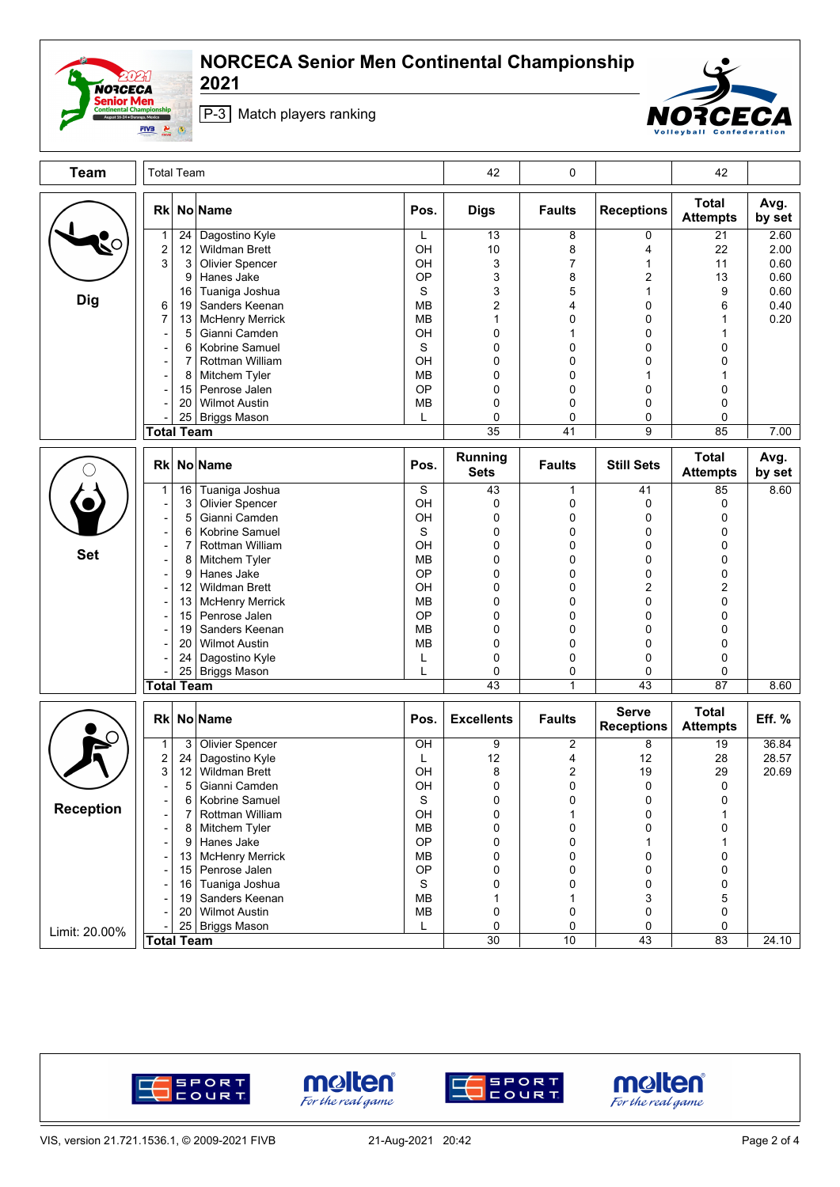

## **NORCECA Senior Men Continental Championship**

**2021**





| <b>Team</b>      | <b>Total Team</b>                                    |               |                                                           |                        | 42                             | 0                        |                                   | 42                              |                      |
|------------------|------------------------------------------------------|---------------|-----------------------------------------------------------|------------------------|--------------------------------|--------------------------|-----------------------------------|---------------------------------|----------------------|
|                  | <b>Rk</b>                                            |               | No Name                                                   | Pos.                   | <b>Digs</b>                    | <b>Faults</b>            | <b>Receptions</b>                 | <b>Total</b><br><b>Attempts</b> | Avg.<br>by set       |
|                  | $\mathbf{1}$<br>$\boldsymbol{2}$<br>3                | 24<br>12<br>3 | Dagostino Kyle<br><b>Wildman Brett</b><br>Olivier Spencer | L<br>OH<br>OH          | 13<br>10<br>3                  | 8<br>8<br>$\overline{7}$ | 0<br>4<br>1                       | 21<br>22<br>11                  | 2.60<br>2.00<br>0.60 |
|                  |                                                      | 9<br>16       | Hanes Jake<br>Tuaniga Joshua                              | OP<br>S                | 3<br>3                         | 8<br>5                   | 2<br>$\mathbf{1}$                 | 13<br>9                         | 0.60<br>0.60         |
| <b>Dig</b>       | 6<br>7                                               | 19<br>13      | Sanders Keenan<br><b>McHenry Merrick</b>                  | <b>MB</b><br><b>MB</b> | $\overline{2}$<br>$\mathbf{1}$ | 4<br>0                   | 0<br>0                            | 6<br>1                          | 0.40<br>0.20         |
|                  |                                                      | 5             | Gianni Camden                                             | OH                     | $\mathbf 0$                    | 1                        | 0                                 | 1                               |                      |
|                  |                                                      | 6<br>7        | Kobrine Samuel<br>Rottman William                         | S<br>OH                | 0<br>0                         | 0<br>0                   | 0<br>0                            | 0<br>0                          |                      |
|                  | $\overline{\phantom{a}}$                             | 8             | Mitchem Tyler                                             | <b>MB</b>              | 0                              | 0                        | 1                                 | 1                               |                      |
|                  |                                                      | 15<br>20      | Penrose Jalen<br><b>Wilmot Austin</b>                     | OP<br><b>MB</b>        | 0<br>0                         | 0<br>0                   | 0<br>0                            | 0<br>0                          |                      |
|                  |                                                      | 25            | <b>Briggs Mason</b>                                       | L                      | 0                              | 0                        | 0                                 | 0                               |                      |
|                  | <b>Total Team</b>                                    |               |                                                           |                        | 35                             | 41                       | 9                                 | 85                              | 7.00                 |
|                  | <b>Rk</b>                                            |               | No Name                                                   | Pos.                   | <b>Running</b><br><b>Sets</b>  | <b>Faults</b>            | <b>Still Sets</b>                 | <b>Total</b><br><b>Attempts</b> | Avg.<br>by set       |
|                  | $\mathbf{1}$                                         | 16            | Tuaniga Joshua                                            | S<br>OH                | 43<br>$\mathbf 0$              | 1                        | 41                                | 85<br>0                         | 8.60                 |
|                  | $\overline{\phantom{a}}$<br>$\overline{a}$           | 3<br>5        | <b>Olivier Spencer</b><br>Gianni Camden                   | OH                     | 0                              | 0<br>0                   | 0<br>0                            | 0                               |                      |
|                  |                                                      | 6             | Kobrine Samuel                                            | S                      | $\mathbf 0$                    | 0                        | 0                                 | 0                               |                      |
| <b>Set</b>       | $\overline{a}$                                       | 7             | Rottman William<br>Mitchem Tyler                          | OH<br><b>MB</b>        | 0<br>0                         | 0<br>0                   | 0<br>0                            | 0<br>0                          |                      |
|                  | $\overline{a}$                                       | 8<br>9        | Hanes Jake                                                | OP                     | 0                              | 0                        | 0                                 | 0                               |                      |
|                  | $\overline{a}$                                       | 12            | <b>Wildman Brett</b>                                      | OH                     | 0                              | 0                        | 2                                 | 2                               |                      |
|                  |                                                      | 13            | <b>McHenry Merrick</b>                                    | <b>MB</b>              | 0                              | 0                        | 0                                 | 0                               |                      |
|                  |                                                      | 15            | Penrose Jalen                                             | OP                     | 0<br>0                         | 0                        | 0                                 | 0                               |                      |
|                  |                                                      | 19<br>20      | Sanders Keenan<br><b>Wilmot Austin</b>                    | <b>MB</b><br><b>MB</b> | 0                              | 0<br>0                   | 0<br>0                            | 0<br>0                          |                      |
|                  |                                                      | 24            | Dagostino Kyle                                            | L                      | 0                              | 0                        | 0                                 | 0                               |                      |
|                  |                                                      | 25            | <b>Briggs Mason</b>                                       | L                      | 0                              | 0                        | 0                                 | 0                               |                      |
|                  | <b>Total Team</b>                                    |               |                                                           |                        | 43                             | $\mathbf{1}$             | 43                                | $\overline{87}$                 | 8.60                 |
|                  | <b>Rk</b>                                            |               | No Name                                                   | Pos.                   | <b>Excellents</b>              | <b>Faults</b>            | <b>Serve</b><br><b>Receptions</b> | <b>Total</b><br><b>Attempts</b> | Eff. %               |
|                  | $\mathbf{1}$                                         | 3             | <b>Olivier Spencer</b>                                    | $rac{}{O}$             | 9                              | $\overline{\mathbf{c}}$  | 8                                 | 19                              | 36.84                |
|                  | $\overline{\mathbf{c}}$<br>$\ensuremath{\mathsf{3}}$ | 24<br>12      | Dagostino Kyle<br><b>Wildman Brett</b>                    | L<br>OH                | 12<br>8                        | 4<br>2                   | 12<br>19                          | 28<br>29                        | 28.57<br>20.69       |
|                  | ÷                                                    | 5             | Gianni Camden                                             | OH                     | 0                              | 0                        | $\mathbf 0$                       | 0                               |                      |
|                  |                                                      | 6             | Kobrine Samuel                                            | S                      | 0                              | 0                        | 0                                 | 0                               |                      |
| <b>Reception</b> | $\overline{\phantom{a}}$                             | 7             | Rottman William                                           | OH                     | 0                              | $\mathbf{1}$             | 0                                 | $\mathbf{1}$                    |                      |
|                  |                                                      | 8             | Mitchem Tyler                                             | <b>MB</b>              | 0                              | 0                        | 0                                 | 0                               |                      |
|                  | $\blacksquare$                                       | 9<br>13       | Hanes Jake<br><b>McHenry Merrick</b>                      | OP<br><b>MB</b>        | 0<br>0                         | 0<br>0                   | 1<br>0                            | 1<br>0                          |                      |
|                  |                                                      | 15            | Penrose Jalen                                             | OP                     | 0                              | 0                        | 0                                 | 0                               |                      |
|                  |                                                      | 16            | Tuaniga Joshua                                            | $\mathbf S$            | 0                              | 0                        | 0                                 | 0                               |                      |
|                  |                                                      | 19            | Sanders Keenan                                            | <b>MB</b>              | 1                              | 1                        | 3                                 | 5                               |                      |
|                  |                                                      | 20            | <b>Wilmot Austin</b>                                      | <b>MB</b>              | 0                              | 0                        | 0                                 | 0                               |                      |
| Limit: 20.00%    | <b>Total Team</b>                                    | 25            | <b>Briggs Mason</b>                                       | L                      | 0<br>30                        | 0<br>10                  | 0<br>43                           | 0<br>83                         | 24.10                |







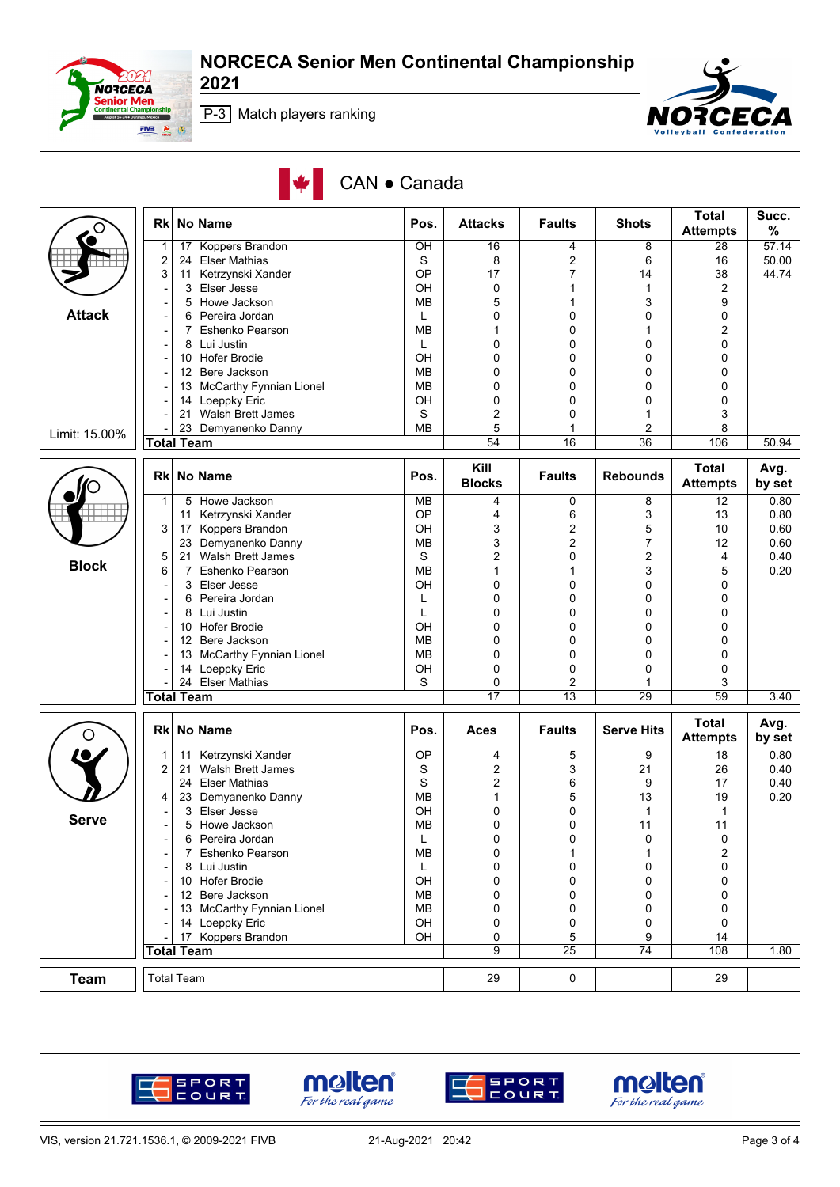



P-3 Match players ranking

|  |  | CAN • Canada |
|--|--|--------------|
|--|--|--------------|

| O             | <b>Rk</b>                |                | <b>No Name</b>                 | Pos.            | <b>Attacks</b>        | <b>Faults</b>   | <b>Shots</b>      | <b>Total</b><br><b>Attempts</b> | Succ.<br>%     |
|---------------|--------------------------|----------------|--------------------------------|-----------------|-----------------------|-----------------|-------------------|---------------------------------|----------------|
|               | 1                        | 17             | Koppers Brandon                | $\overline{CH}$ | 16                    | 4               | 8                 | 28                              | 57.14          |
|               | $\overline{\mathbf{c}}$  | 24             | <b>Elser Mathias</b>           | S               | 8                     | 2               | 6                 | 16                              | 50.00          |
|               | 3                        | 11             | Ketrzynski Xander              | OP              | 17                    | 7               | 14                | 38                              | 44.74          |
|               |                          | 3              | Elser Jesse                    | OH              | 0                     | 1               | 1                 | $\overline{2}$                  |                |
|               |                          | 5              | Howe Jackson                   | МB              | 5                     |                 | 3                 | 9                               |                |
| <b>Attack</b> | $\overline{a}$           | 6              | Pereira Jordan                 | L               | 0                     | 0               | 0                 | 0                               |                |
|               |                          | 7              | Eshenko Pearson                | <b>MB</b>       | 1                     | 0               | 1                 | 2                               |                |
|               | -                        | 8              | Lui Justin                     | L               | $\mathbf 0$           | 0               | $\mathbf 0$       | 0                               |                |
|               | $\overline{\phantom{a}}$ | 10             | <b>Hofer Brodie</b>            | OH              | 0                     | 0               | 0                 | 0                               |                |
|               |                          | 12             | Bere Jackson                   | <b>MB</b>       | $\mathbf 0$           | 0               | 0                 | 0                               |                |
|               |                          | 13             | <b>McCarthy Fynnian Lionel</b> | MВ              | 0                     | 0               | 0                 | 0                               |                |
|               |                          | 14             | Loeppky Eric                   | OН              | 0                     | 0               | 0                 | 0                               |                |
|               |                          | 21             | Walsh Brett James              | S               | $\overline{2}$        | 0               | 1                 | 3                               |                |
|               |                          | 23             | Demyanenko Danny               | <b>MB</b>       | 5                     | 1               | 2                 | 8                               |                |
| Limit: 15.00% | <b>Total Team</b>        |                |                                |                 | 54                    | 16              | 36                | 106                             | 50.94          |
|               | <b>Rk</b>                |                | No Name                        | Pos.            | Kill<br><b>Blocks</b> | <b>Faults</b>   | <b>Rebounds</b>   | <b>Total</b><br><b>Attempts</b> | Avg.<br>by set |
|               | $\mathbf{1}$             | 5              | Howe Jackson                   | <b>MB</b>       | 4                     | 0               | 8                 | 12                              | 0.80           |
|               |                          | 11             | Ketrzynski Xander              | OP              | 4                     | 6               | 3                 | 13                              | 0.80           |
|               | 3                        | 17             | Koppers Brandon                | OH              | 3                     | $\overline{2}$  | 5                 | 10                              | 0.60           |
|               |                          | 23             | Demyanenko Danny               | MВ              | 3                     | 2               | 7                 | 12                              | 0.60           |
|               | 5                        | 21             | <b>Walsh Brett James</b>       | S               | 2                     | 0               | 2                 | 4                               | 0.40           |
| <b>Block</b>  | 6                        | $\overline{7}$ | Eshenko Pearson                | <b>MB</b>       | 1                     |                 | 3                 | 5                               | 0.20           |
|               |                          | 3              | Elser Jesse                    | OH              | 0                     | 0               | 0                 | 0                               |                |
|               | $\overline{\phantom{a}}$ | 6              | Pereira Jordan                 | L               | 0                     | 0               | 0                 | 0                               |                |
|               |                          | 8              | Lui Justin                     | L               | 0                     | 0               | 0                 | 0                               |                |
|               |                          | 10             | <b>Hofer Brodie</b>            | OH              | 0                     | 0               | 0                 | 0                               |                |
|               |                          | 12             | Bere Jackson                   | МB              | 0                     | 0               | 0                 | 0                               |                |
|               |                          | 13             | McCarthy Fynnian Lionel        | <b>MB</b>       | $\mathbf 0$           | 0               | 0                 | 0                               |                |
|               |                          | 14             | Loeppky Eric                   | OH              | $\mathbf 0$           | 0               | 0                 | $\mathbf 0$                     |                |
|               |                          | 24             | <b>Elser Mathias</b>           | S               | 0                     | 2               |                   | 3                               |                |
|               | <b>Total Team</b>        |                |                                |                 | 17                    | $\overline{13}$ | 29                | 59                              | 3.40           |
|               |                          |                |                                |                 |                       |                 |                   |                                 |                |
| O             | <b>Rk</b>                |                | No Name                        | Pos.            | <b>Aces</b>           | <b>Faults</b>   | <b>Serve Hits</b> | <b>Total</b><br><b>Attempts</b> | Avg.<br>by set |
|               | $\mathbf{1}$             | 11             | Ketrzynski Xander              | OP              | 4                     | 5               | 9                 | 18                              | 0.80           |
|               | $\overline{c}$           | 21             | Walsh Brett James              | S               | 2                     | 3               | 21                | 26                              | 0.40           |
|               |                          | 24             | <b>Elser Mathias</b>           | S               | 2                     | 6               | 9                 | 17                              | 0.40           |
|               | 4                        | 23             | Demyanenko Danny               | <b>MB</b>       | 1                     | 5               | 13                | 19                              | 0.20           |
|               |                          | 3              | Elser Jesse                    | OН              | 0                     | 0               | $\mathbf{1}$      | $\mathbf{1}$                    |                |
| <b>Serve</b>  |                          | 5              | Howe Jackson                   | МB              | $\mathbf 0$           | 0               | 11                | 11                              |                |
|               |                          | 6              | Pereira Jordan                 | L               | 0                     |                 | 0                 | $\pmb{0}$                       |                |
|               |                          | 7              | Eshenko Pearson                | MB              | 0                     | 1               | 1                 | 2                               |                |
|               |                          |                | 8 Lui Justin                   | L               | 0                     | 0               | 0                 | 0                               |                |
|               |                          |                | 10 Hofer Brodie                | OH              | 0                     | 0               | 0                 | 0                               |                |
|               |                          |                | 12 Bere Jackson                | MB              | 0                     | 0               | 0                 | 0                               |                |
|               |                          |                | 13 McCarthy Fynnian Lionel     | MB              | 0                     | 0               | 0                 | 0                               |                |
|               |                          |                | 14 Loeppky Eric                | OH              | 0                     | 0               | 0                 | 0                               |                |
|               |                          |                | 17 Koppers Brandon             | OH              | 0                     | 5               | 9                 | 14                              |                |
|               | <b>Total Team</b>        |                |                                |                 | 9                     | 25              | 74                | 108                             | 1.80           |
| <b>Team</b>   | <b>Total Team</b>        |                |                                |                 |                       |                 |                   |                                 |                |
|               |                          |                |                                |                 | 29                    | 0               |                   | 29                              |                |